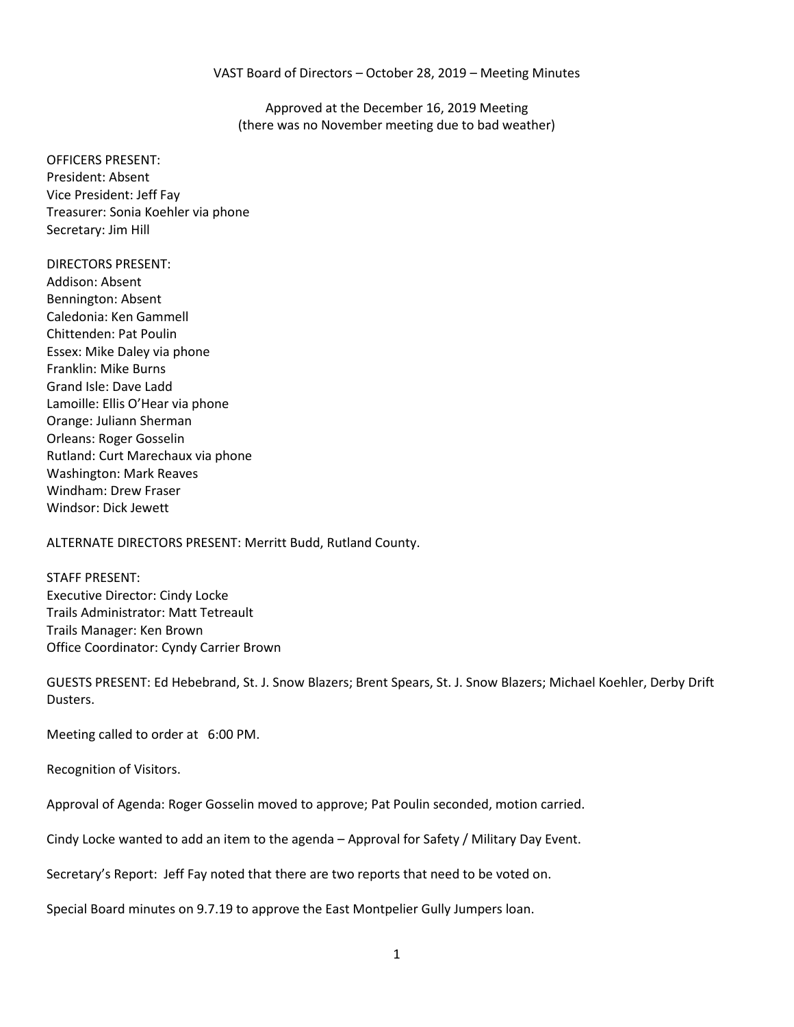#### VAST Board of Directors – October 28, 2019 – Meeting Minutes

Approved at the December 16, 2019 Meeting (there was no November meeting due to bad weather)

OFFICERS PRESENT: President: Absent Vice President: Jeff Fay Treasurer: Sonia Koehler via phone Secretary: Jim Hill

#### DIRECTORS PRESENT:

Addison: Absent Bennington: Absent Caledonia: Ken Gammell Chittenden: Pat Poulin Essex: Mike Daley via phone Franklin: Mike Burns Grand Isle: Dave Ladd Lamoille: Ellis O'Hear via phone Orange: Juliann Sherman Orleans: Roger Gosselin Rutland: Curt Marechaux via phone Washington: Mark Reaves Windham: Drew Fraser Windsor: Dick Jewett

ALTERNATE DIRECTORS PRESENT: Merritt Budd, Rutland County.

STAFF PRESENT: Executive Director: Cindy Locke Trails Administrator: Matt Tetreault Trails Manager: Ken Brown Office Coordinator: Cyndy Carrier Brown

GUESTS PRESENT: Ed Hebebrand, St. J. Snow Blazers; Brent Spears, St. J. Snow Blazers; Michael Koehler, Derby Drift Dusters.

Meeting called to order at 6:00 PM.

Recognition of Visitors.

Approval of Agenda: Roger Gosselin moved to approve; Pat Poulin seconded, motion carried.

Cindy Locke wanted to add an item to the agenda – Approval for Safety / Military Day Event.

Secretary's Report: Jeff Fay noted that there are two reports that need to be voted on.

Special Board minutes on 9.7.19 to approve the East Montpelier Gully Jumpers loan.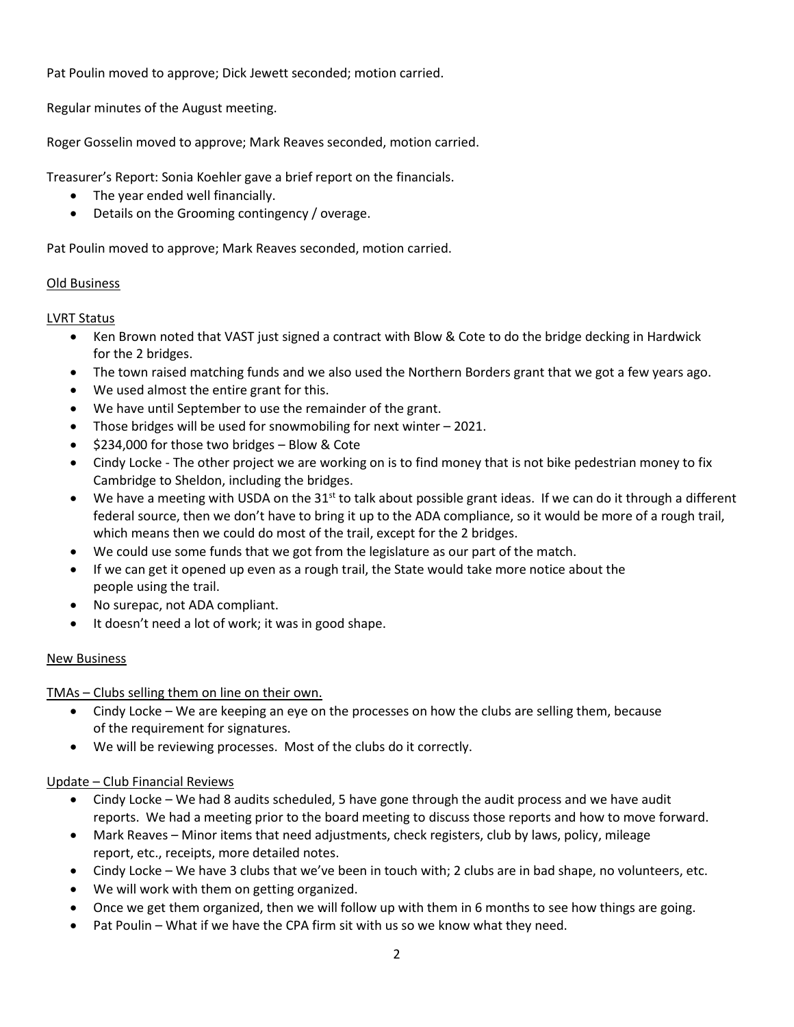Pat Poulin moved to approve; Dick Jewett seconded; motion carried.

Regular minutes of the August meeting.

Roger Gosselin moved to approve; Mark Reaves seconded, motion carried.

Treasurer's Report: Sonia Koehler gave a brief report on the financials.

- The year ended well financially.
- Details on the Grooming contingency / overage.

Pat Poulin moved to approve; Mark Reaves seconded, motion carried.

# Old Business

LVRT Status

- Ken Brown noted that VAST just signed a contract with Blow & Cote to do the bridge decking in Hardwick for the 2 bridges.
- The town raised matching funds and we also used the Northern Borders grant that we got a few years ago.
- We used almost the entire grant for this.
- We have until September to use the remainder of the grant.
- Those bridges will be used for snowmobiling for next winter 2021.
- \$234,000 for those two bridges Blow & Cote
- Cindy Locke The other project we are working on is to find money that is not bike pedestrian money to fix Cambridge to Sheldon, including the bridges.
- We have a meeting with USDA on the 31<sup>st</sup> to talk about possible grant ideas. If we can do it through a different federal source, then we don't have to bring it up to the ADA compliance, so it would be more of a rough trail, which means then we could do most of the trail, except for the 2 bridges.
- We could use some funds that we got from the legislature as our part of the match.
- If we can get it opened up even as a rough trail, the State would take more notice about the people using the trail.
- No surepac, not ADA compliant.
- It doesn't need a lot of work; it was in good shape.

# New Business

TMAs – Clubs selling them on line on their own.

- Cindy Locke We are keeping an eye on the processes on how the clubs are selling them, because of the requirement for signatures.
- We will be reviewing processes. Most of the clubs do it correctly.

# Update – Club Financial Reviews

- Cindy Locke We had 8 audits scheduled, 5 have gone through the audit process and we have audit reports. We had a meeting prior to the board meeting to discuss those reports and how to move forward.
- Mark Reaves Minor items that need adjustments, check registers, club by laws, policy, mileage report, etc., receipts, more detailed notes.
- Cindy Locke We have 3 clubs that we've been in touch with; 2 clubs are in bad shape, no volunteers, etc.
- We will work with them on getting organized.
- Once we get them organized, then we will follow up with them in 6 months to see how things are going.
- Pat Poulin What if we have the CPA firm sit with us so we know what they need.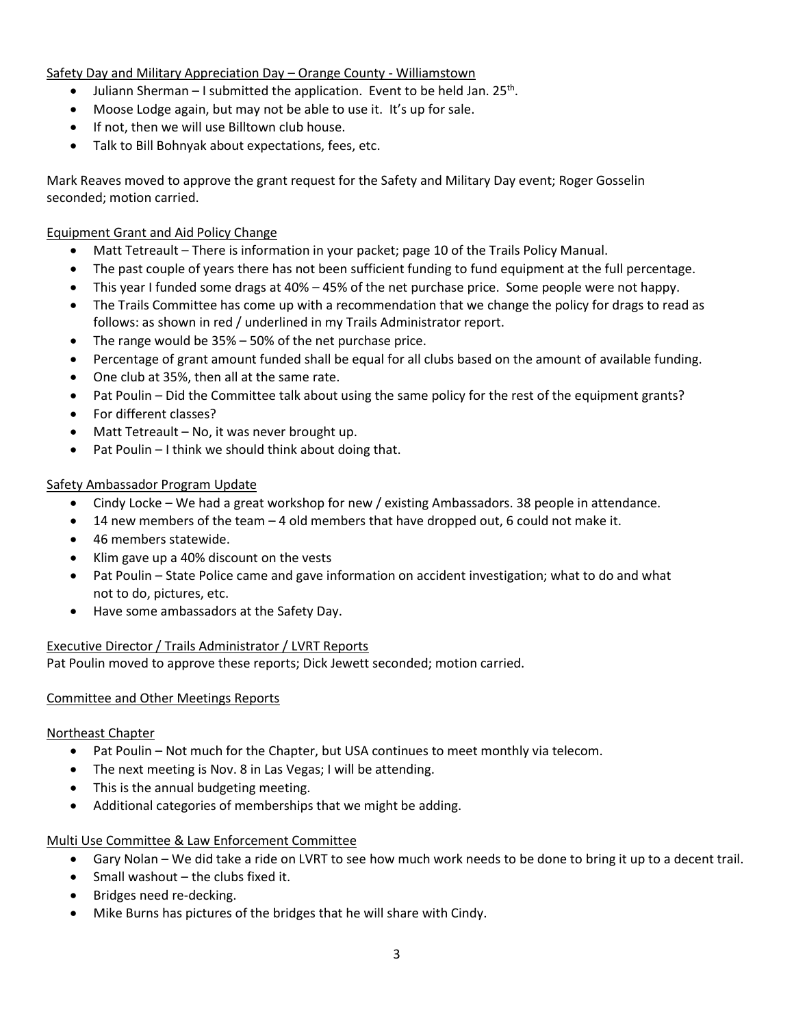Safety Day and Military Appreciation Day – Orange County - Williamstown

- $\bullet$  Juliann Sherman I submitted the application. Event to be held Jan. 25<sup>th</sup>.
- Moose Lodge again, but may not be able to use it. It's up for sale.
- If not, then we will use Billtown club house.
- Talk to Bill Bohnyak about expectations, fees, etc.

Mark Reaves moved to approve the grant request for the Safety and Military Day event; Roger Gosselin seconded; motion carried.

## Equipment Grant and Aid Policy Change

- Matt Tetreault There is information in your packet; page 10 of the Trails Policy Manual.
- The past couple of years there has not been sufficient funding to fund equipment at the full percentage.
- This year I funded some drags at 40% 45% of the net purchase price. Some people were not happy.
- The Trails Committee has come up with a recommendation that we change the policy for drags to read as follows: as shown in red / underlined in my Trails Administrator report.
- The range would be 35% 50% of the net purchase price.
- Percentage of grant amount funded shall be equal for all clubs based on the amount of available funding.
- One club at 35%, then all at the same rate.
- Pat Poulin Did the Committee talk about using the same policy for the rest of the equipment grants?
- For different classes?
- Matt Tetreault No, it was never brought up.
- Pat Poulin I think we should think about doing that.

### Safety Ambassador Program Update

- Cindy Locke We had a great workshop for new / existing Ambassadors. 38 people in attendance.
- 14 new members of the team 4 old members that have dropped out, 6 could not make it.
- 46 members statewide.
- Klim gave up a 40% discount on the vests
- Pat Poulin State Police came and gave information on accident investigation; what to do and what not to do, pictures, etc.
- Have some ambassadors at the Safety Day.

### Executive Director / Trails Administrator / LVRT Reports

Pat Poulin moved to approve these reports; Dick Jewett seconded; motion carried.

### Committee and Other Meetings Reports

### Northeast Chapter

- Pat Poulin Not much for the Chapter, but USA continues to meet monthly via telecom.
- The next meeting is Nov. 8 in Las Vegas; I will be attending.
- This is the annual budgeting meeting.
- Additional categories of memberships that we might be adding.

### Multi Use Committee & Law Enforcement Committee

- Gary Nolan We did take a ride on LVRT to see how much work needs to be done to bring it up to a decent trail.
- $\bullet$  Small washout the clubs fixed it.
- Bridges need re-decking.
- Mike Burns has pictures of the bridges that he will share with Cindy.